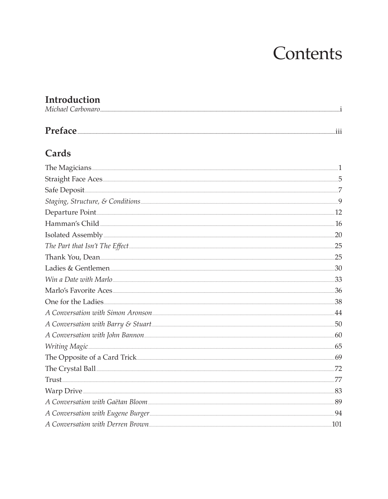# Contents

## **Introduction**<br>Michael Carbonaro

| Michael Carbonaro.  |  |
|---------------------|--|
|                     |  |
| Preface<br>$\cdots$ |  |

#### Cards

| The Magicians <b>Executive Service Construction</b> 1 |  |
|-------------------------------------------------------|--|
|                                                       |  |
|                                                       |  |
|                                                       |  |
| Departure Point 12                                    |  |
|                                                       |  |
| Isolated Assembly 20                                  |  |
|                                                       |  |
| Thank You, Dean 25                                    |  |
|                                                       |  |
|                                                       |  |
|                                                       |  |
| One for the Ladies 38                                 |  |
| A Conversation with Simon Aronson                     |  |
| $A$ Conversation with Barry & Stuart                  |  |
|                                                       |  |
|                                                       |  |
| The Opposite of a Card Trick                          |  |
| The Crystal Ball <u>was announced</u> 72              |  |
|                                                       |  |
| Warp Drive 83                                         |  |
| A Conversation with Gaëtan Bloom 89                   |  |
| A Conversation with Eugene Burger                     |  |
| A Conversation with Derren Brown                      |  |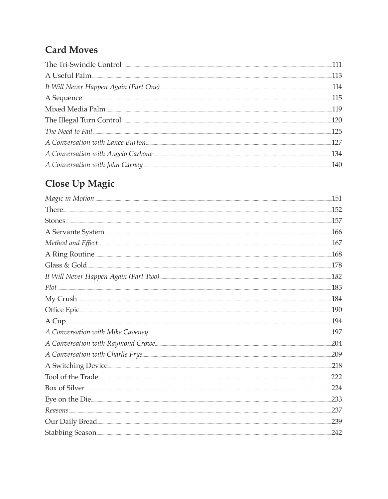### **Card Moves**

| The Tri-Swindle Control                                                                                                                                                                                                              |  |
|--------------------------------------------------------------------------------------------------------------------------------------------------------------------------------------------------------------------------------------|--|
| A Useful Palm                                                                                                                                                                                                                        |  |
|                                                                                                                                                                                                                                      |  |
| A Sequence <b>contract to the contract of the contract of the contract of the contract of the contract of the contract of the contract of the contract of the contract of the contract of the contract of the contract of the co</b> |  |
| Mixed Media Palm                                                                                                                                                                                                                     |  |
| The Illegal Turn Control                                                                                                                                                                                                             |  |
|                                                                                                                                                                                                                                      |  |
|                                                                                                                                                                                                                                      |  |
|                                                                                                                                                                                                                                      |  |
|                                                                                                                                                                                                                                      |  |

### Close Up Magic

|                                                                                                                         | .151 |
|-------------------------------------------------------------------------------------------------------------------------|------|
|                                                                                                                         | 152  |
|                                                                                                                         | .157 |
| A Servante System                                                                                                       | .166 |
| Method and Effect <u>Communications</u> and the settlement of the settlement of the settlement of the settlement of the | 167  |
| A Ring Routine                                                                                                          | 168  |
| Glass & Gold                                                                                                            | 178  |
|                                                                                                                         | 182  |
| Plot                                                                                                                    | 183  |
|                                                                                                                         | 184  |
|                                                                                                                         | 190  |
|                                                                                                                         | 194  |
|                                                                                                                         |      |
|                                                                                                                         | 204  |
|                                                                                                                         | 209  |
| A Switching Device                                                                                                      | 218  |
|                                                                                                                         | 222  |
|                                                                                                                         | 224  |
|                                                                                                                         | 233  |
|                                                                                                                         | 237  |
| Our Daily Bread                                                                                                         | 239  |
| Stabbing Season                                                                                                         | 242  |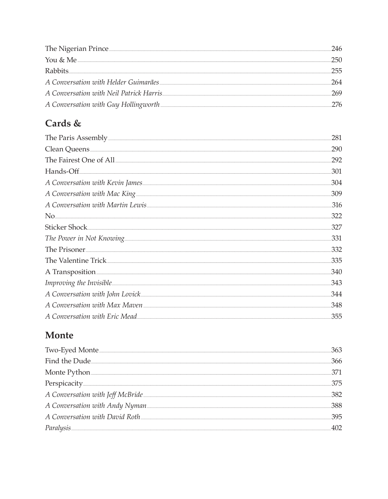| The Nigerian Prince                                                                                                                                                                                                           | 246 |
|-------------------------------------------------------------------------------------------------------------------------------------------------------------------------------------------------------------------------------|-----|
| You & Me                                                                                                                                                                                                                      | 250 |
| Rabbits                                                                                                                                                                                                                       |     |
| A Conversation with Helder Guimarães                                                                                                                                                                                          | 264 |
|                                                                                                                                                                                                                               |     |
| A Conversation with Guy Hollingworth [19] A Conversation with Guy Hollingworth [19] A Conversation with Guy Hollingworth [19] A Conversation and the Conversation of the Conversation of the Conversation of the Conversation |     |

### Cards &

| The Paris Assembly                          | 281  |
|---------------------------------------------|------|
| Clean Queens                                | 290  |
|                                             | 292  |
| $\bf{Hands-off} \color{red} \boldsymbol{1}$ | 301  |
|                                             | 304  |
|                                             | 309  |
|                                             | .316 |
|                                             | 322  |
|                                             | 327  |
|                                             | 331  |
|                                             | .332 |
|                                             | .335 |
|                                             | 340  |
|                                             | 343  |
|                                             | 344  |
|                                             | 348  |
|                                             | 355  |

#### Monte

| Two-Eyed Monte                                                               |  |
|------------------------------------------------------------------------------|--|
|                                                                              |  |
| Monte Python                                                                 |  |
|                                                                              |  |
|                                                                              |  |
| A Conversation with Andy Nyman Manuscriptum and Conversation with Andy Nyman |  |
|                                                                              |  |
|                                                                              |  |